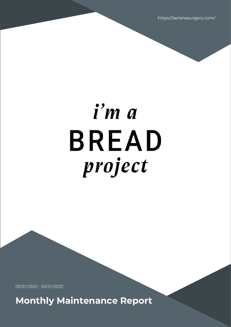https://serenesurgery.com/

# i'm a **BREAD** project

03/01/2022 - 03/31/2022

**Monthly Maintenance Report**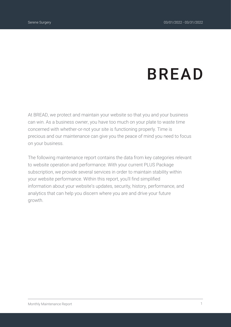# **BREAD**

At BREAD, we protect and maintain your website so that you and your business can win. As a business owner, you have too much on your plate to waste time concerned with whether-or-not your site is functioning properly. Time is precious and our maintenance can give you the peace of mind you need to focus on your business.

The following maintenance report contains the data from key categories relevant to website operation and performance. With your current PLUS Package subscription, we provide several services in order to maintain stability within your website performance. Within this report, you'll find simplified information about your website's updates, security, history, performance, and analytics that can help you discern where you are and drive your future growth.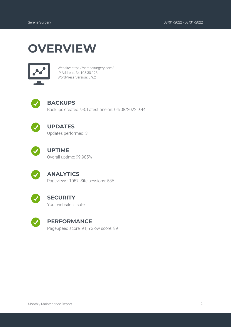## **OVERVIEW**



Website: https://serenesurgery.com/ IP Address: 34.105.30.128 WordPress Version: 5.9.2



#### **BACKUPS**

Backups created: 93; Latest one on: 04/08/2022 9:44



#### **UPDATES**

Updates performed: 3



#### **UPTIME**

Overall uptime: 99.985%



#### **ANALYTICS**

Pageviews: 1057; Site sessions: 536



#### **SECURITY**

Your website is safe



#### **PERFORMANCE**

PageSpeed score: 91; YSlow score: 89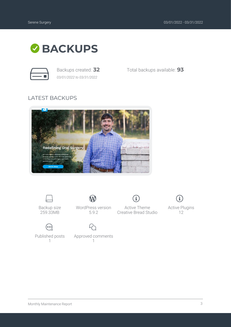

*03/01/2022 to 03/31/2022*

Backups created: **32** Total backups available: **93**

#### LATEST BACKUPS





Backup size 259.33MB



W WordPress version

5.9.2

Approved comments 1



Active Theme Creative Bread Studio



Active Plugins 12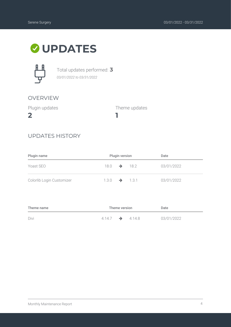### **UPDATES**



Total updates performed: **3** *03/01/2022 to 03/31/2022*

#### OVERVIEW

Plugin updates

**2**

Theme updates

#### UPDATES HISTORY

| Plugin name               |                           | <b>Plugin version</b> | Date       |
|---------------------------|---------------------------|-----------------------|------------|
| Yoast SEO                 | $18.0 \rightarrow 18.2$   |                       | 03/01/2022 |
| Colorlib Login Customizer | $1.3.0 \rightarrow 1.3.1$ |                       | 03/01/2022 |

**1**

| Theme name | Theme version               |  | Date |            |
|------------|-----------------------------|--|------|------------|
| Divi       | $4.14.7 \rightarrow 4.14.8$ |  |      | 03/01/2022 |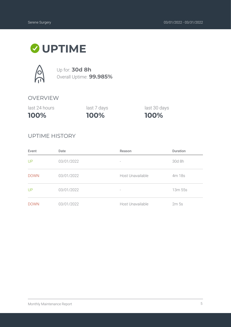## **UPTIME**



Up for: **30d 8h** Overall Uptime: **99.985%**

#### OVERVIEW

| 100%          | 100%        | 100%         |
|---------------|-------------|--------------|
| last 24 hours | last 7 days | last 30 days |

#### UPTIME HISTORY

| Event       | Date       | Reason                   | <b>Duration</b>  |
|-------------|------------|--------------------------|------------------|
| UP          | 03/01/2022 | $\overline{\phantom{a}}$ | 30d 8h           |
| <b>DOWN</b> | 03/01/2022 | Host Unavailable         | 4m 18s           |
| UP          | 03/01/2022 | $\overline{\phantom{a}}$ | 13m 55s          |
| <b>DOWN</b> | 03/01/2022 | Host Unavailable         | 2m <sub>5s</sub> |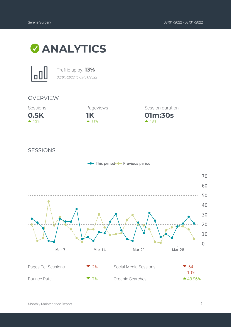



Traffic up by: **13%** *03/01/2022 to 03/31/2022*

#### OVERVIEW





**01m:30s** Session duration  $\triangle$  18%

#### SESSIONS

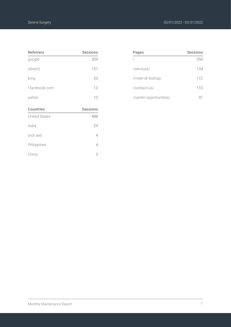| <b>Referrers</b>     | <b>Sessions</b> |
|----------------------|-----------------|
| google               | 309             |
| (direct)             | 157             |
| bing                 | 20              |
| I.facebook.com       | 13              |
| yahoo                | 10              |
|                      |                 |
| <b>Countries</b>     | <b>Sessions</b> |
| <b>United States</b> | 488             |
| India                | 29              |
| (not set)            | 4               |
| Philippines          | 4               |

| Pages                  | <b>Sessions</b> |
|------------------------|-----------------|
|                        | 550             |
| /services/             | 134             |
| /meet-dr-bishop/       | 112             |
| /contact-us/           | 110             |
| /career-opportunities/ | 41              |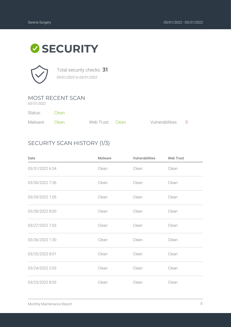# **SECURITY**



Total security checks: **31** *03/01/2022 to 03/31/2022*

#### MOST RECENT SCAN

*03/31/2022*

Status: Clean

| Malware: Clean | Web Trust: Clean | Vulnerabilities: 0 |  |
|----------------|------------------|--------------------|--|

#### SECURITY SCAN HISTORY (1/3)

| Date            | <b>Malware</b> | Vulnerabilities | <b>Web Trust</b> |
|-----------------|----------------|-----------------|------------------|
| 03/31/2022 6:34 | Clean          | Clean           | Clean            |
| 03/30/2022 7:36 | Clean          | Clean           | Clean            |
| 03/29/2022 1:05 | Clean          | Clean           | Clean            |
| 03/28/2022 8:00 | Clean          | Clean           | Clean            |
| 03/27/2022 7:03 | Clean          | Clean           | Clean            |
| 03/26/2022 1:30 | Clean          | Clean           | Clean            |
| 03/25/2022 8:01 | Clean          | Clean           | Clean            |
| 03/24/2022 2:03 | Clean          | Clean           | Clean            |
| 03/23/2022 8:03 | Clean          | Clean           | Clean            |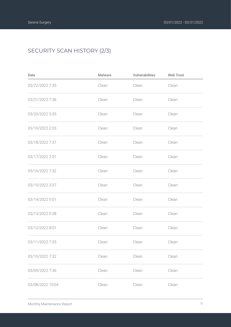#### SECURITY SCAN HISTORY (2/3)

| Date             | <b>Malware</b> | Vulnerabilities | <b>Web Trust</b> |
|------------------|----------------|-----------------|------------------|
| 03/22/2022 7:35  | Clean          | Clean           | Clean            |
| 03/21/2022 7:36  | Clean          | Clean           | Clean            |
| 03/20/2022 5:35  | Clean          | Clean           | Clean            |
| 03/19/2022 2:03  | Clean          | Clean           | Clean            |
| 03/18/2022 7:37  | Clean          | Clean           | Clean            |
| 03/17/2022 2:01  | Clean          | Clean           | Clean            |
| 03/16/2022 7:32  | Clean          | Clean           | Clean            |
| 03/15/2022 3:37  | Clean          | Clean           | Clean            |
| 03/14/2022 5:01  | Clean          | Clean           | Clean            |
| 03/13/2022 0:38  | Clean          | Clean           | Clean            |
| 03/12/2022 8:01  | Clean          | Clean           | Clean            |
| 03/11/2022 7:35  | Clean          | Clean           | Clean            |
| 03/10/2022 7:32  | Clean          | Clean           | Clean            |
| 03/09/2022 7:36  | Clean          | Clean           | Clean            |
| 03/08/2022 10:04 | Clean          | Clean           | Clean            |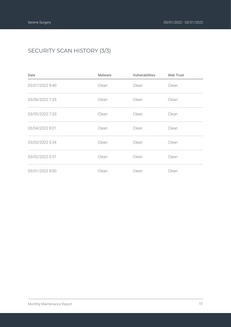#### SECURITY SCAN HISTORY (3/3)

| Date            | Malware | Vulnerabilities | <b>Web Trust</b> |
|-----------------|---------|-----------------|------------------|
| 03/07/2022 9:40 | Clean   | Clean           | Clean            |
| 03/06/2022 7:33 | Clean   | Clean           | Clean            |
| 03/05/2022 7:33 | Clean   | Clean           | Clean            |
| 03/04/2022 8:01 | Clean   | Clean           | Clean            |
| 03/03/2022 5:34 | Clean   | Clean           | Clean            |
| 03/02/2022 0:31 | Clean   | Clean           | Clean            |
| 03/01/2022 8:00 | Clean   | Clean           | Clean            |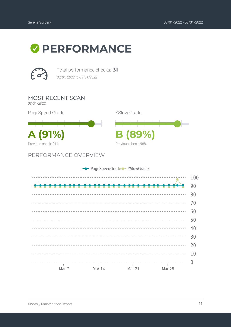# *O* PERFORMANCE



Total performance checks: **31** *03/01/2022 to 03/31/2022*

MOST RECENT SCAN *03/31/2022* PageSpeed Grade YSlow Grade **A (91%) B (89%)** Previous check: 91% Previous check: 98% PERFORMANCE OVERVIEW - PageSpeedGrade - YSlowGrade <u>. . . . . . . . . . .</u> --------------------



100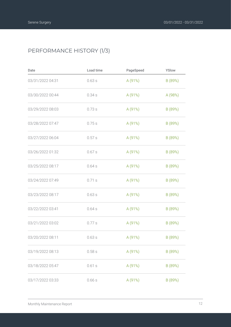#### PERFORMANCE HISTORY (1/3)

| Date             | Load time | PageSpeed | YSlow   |
|------------------|-----------|-----------|---------|
| 03/31/2022 04:31 | 0.63s     | A(91%)    | B (89%) |
| 03/30/2022 00:44 | 0.34s     | A (91%)   | A (98%) |
| 03/29/2022 08:03 | 0.73s     | A (91%)   | B (89%) |
| 03/28/2022 07:47 | 0.75s     | A (91%)   | B (89%) |
| 03/27/2022 06:04 | 0.57s     | A (91%)   | B (89%) |
| 03/26/2022 01:32 | 0.67s     | A (91%)   | B (89%) |
| 03/25/2022 08:17 | 0.64s     | A (91%)   | B (89%) |
| 03/24/2022 07:49 | 0.71 s    | A (91%)   | B (89%) |
| 03/23/2022 08:17 | 0.63s     | A (91%)   | B (89%) |
| 03/22/2022 03:41 | 0.64s     | A (91%)   | B (89%) |
| 03/21/2022 03:02 | 0.77 s    | A (91%)   | B (89%) |
| 03/20/2022 08:11 | 0.63s     | A (91%)   | B (89%) |
| 03/19/2022 08:13 | 0.58s     | A (91%)   | B (89%) |
| 03/18/2022 05:47 | 0.61s     | A (91%)   | B (89%) |
| 03/17/2022 03:33 | 0.66s     | A (91%)   | B (89%) |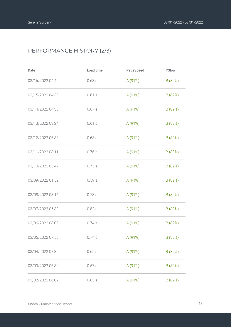#### PERFORMANCE HISTORY (2/3)

| Date             | Load time | PageSpeed | YSlow   |
|------------------|-----------|-----------|---------|
| 03/16/2022 04:42 | 0.63s     | A(91%)    | B (89%) |
| 03/15/2022 04:35 | 0.61s     | A (91%)   | B (89%) |
| 03/14/2022 04:35 | 0.67s     | A (91%)   | B (89%) |
| 03/13/2022 09:24 | 0.61s     | A (91%)   | B (89%) |
| 03/12/2022 06:38 | 0.63s     | A (91%)   | B (89%) |
| 03/11/2022 08:11 | 0.76s     | A (91%)   | B (89%) |
| 03/10/2022 03:47 | 0.73s     | A (91%)   | B (89%) |
| 03/09/2022 01:52 | 0.59s     | A (91%)   | B (89%) |
| 03/08/2022 08:16 | 0.73s     | A (91%)   | B (89%) |
| 03/07/2022 05:39 | 0.82s     | A (91%)   | B (89%) |
| 03/06/2022 08:05 | 0.74s     | A (91%)   | B (89%) |
| 03/05/2022 07:55 | 0.74s     | A (91%)   | B (89%) |
| 03/04/2022 07:32 | 0.65s     | A (91%)   | B (89%) |
| 03/03/2022 06:34 | 0.57s     | A (91%)   | B (89%) |
| 03/02/2022 08:02 | 0.65s     | A (91%)   | B (89%) |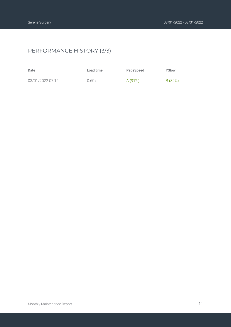#### PERFORMANCE HISTORY (3/3)

| Date             | Load time | PageSpeed | YSlow   |
|------------------|-----------|-----------|---------|
| 03/01/2022 07:14 | 0.60 s    | A(91%)    | B (89%) |